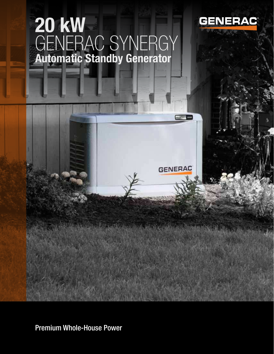# GENERAC SYNERGY 20 kW Automatic Standby Generator



**THE REAL PROPE** 

**GENERAC** 

And the mother of the Communication

Premium Whole-House Power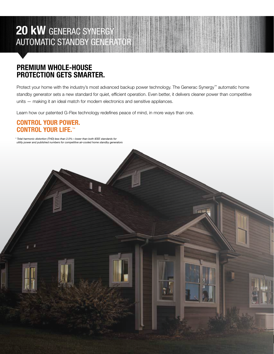### 20 KW GENERAC SYNERGY AUTOMATIC STANDBY GENERATOR

### PREMIUM WHOLE-HOUSE PROTECTION GETS SMARTER.

Protect your home with the industry's most advanced backup power technology. The Generac Synergy™ automatic home standby generator sets a new standard for quiet, efficient operation. Even better, it delivers cleaner power than competitive units — making it an ideal match for modern electronics and sensitive appliances.

Learn how our patented G-Flex technology redefines peace of mind, in more ways than one.

#### CONTROL YOUR POWER. CONTROL YOUR LIFE.™

\* Total harmonic distortion (THD) less than 2.0%—lower than both IEEE standards for utility power and published numbers for competitive air-cooled home standby generators

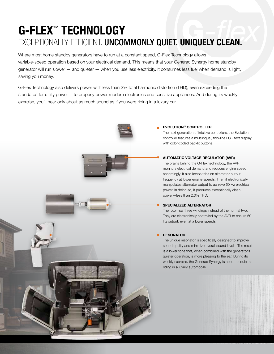### G-FLEX™ TECHNOLOGY EXCEPTIONALLY EFFICIENT. UNCOMMONLY QUIET. UNIQUELY CLEAN.

Where most home standby generators have to run at a constant speed, G-Flex Technology allows variable-speed operation based on your electrical demand. This means that your Generac Synergy home standby generator will run slower — and quieter — when you use less electricity. It consumes less fuel when demand is light, saving you money.

G-Flex Technology also delivers power with less than 2% total harmonic distortion (THD), even exceeding the standards for utility power —to properly power modern electronics and sensitive appliances. And during its weekly exercise, you'll hear only about as much sound as if you were riding in a luxury car.